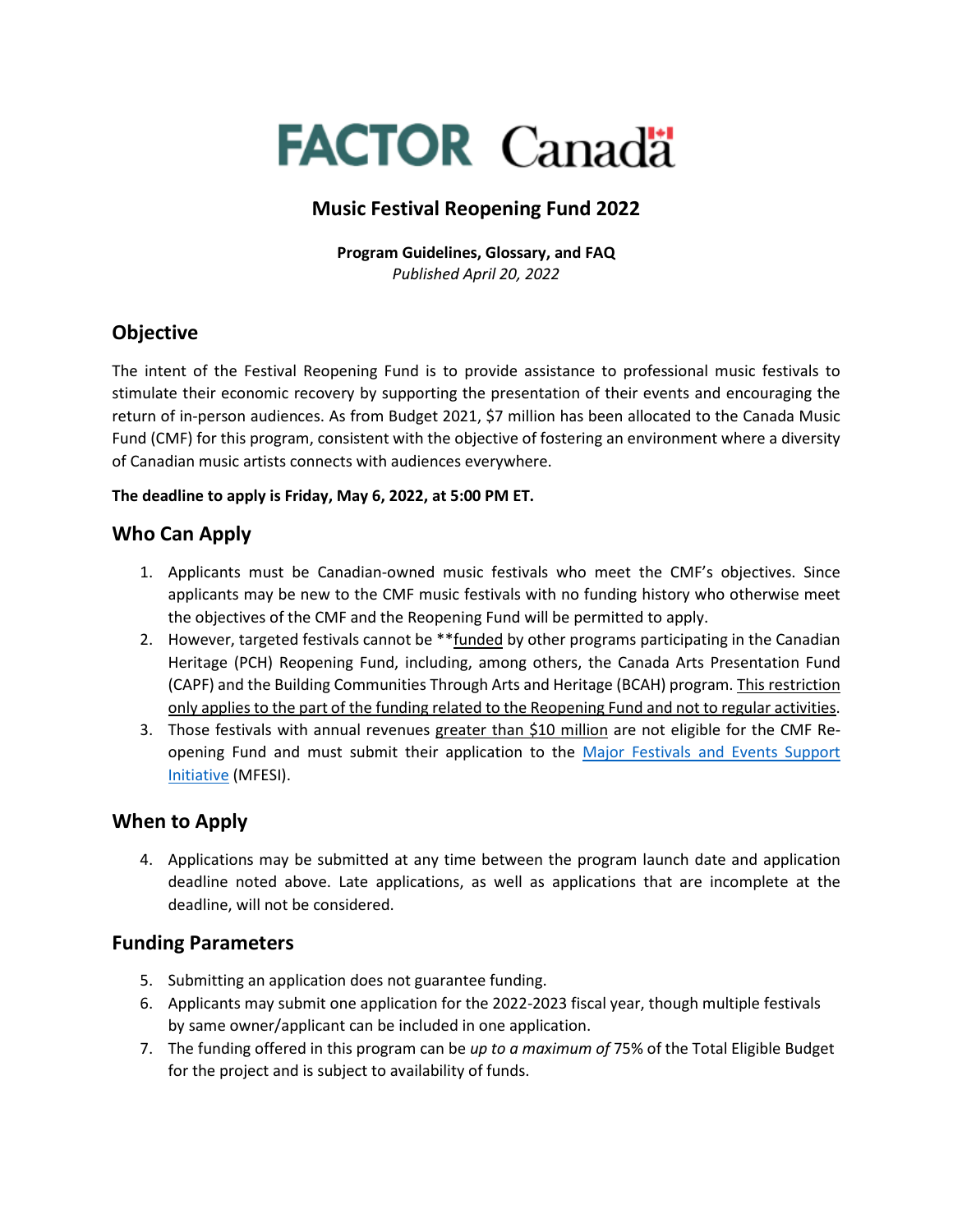# **FACTOR Canada**

# **Music Festival Reopening Fund 2022**

**Program Guidelines, Glossary, and FAQ** *Published April 20, 2022*

# **Objective**

The intent of the Festival Reopening Fund is to provide assistance to professional music festivals to stimulate their economic recovery by supporting the presentation of their events and encouraging the return of in-person audiences. As from Budget 2021, \$7 million has been allocated to the Canada Music Fund (CMF) for this program, consistent with the objective of fostering an environment where a diversity of Canadian music artists connects with audiences everywhere.

#### **The deadline to apply is Friday, May 6, 2022, at 5:00 PM ET.**

## **Who Can Apply**

- 1. Applicants must be Canadian-owned music festivals who meet the CMF's objectives. Since applicants may be new to the CMF music festivals with no funding history who otherwise meet the objectives of the CMF and the Reopening Fund will be permitted to apply.
- 2. However, targeted festivals cannot be \*\*funded by other programs participating in the Canadian Heritage (PCH) Reopening Fund, including, among others, the Canada Arts Presentation Fund (CAPF) and the Building Communities Through Arts and Heritage (BCAH) program. This restriction only applies to the part of the funding related to the Reopening Fund and not to regular activities.
- 3. Those festivals with annual revenues greater than \$10 million are not eligible for the CMF Reopening Fund and must submit their application to the Major Festivals and Events Support [Initiative](https://www.ic.gc.ca/eic/site/icgc.nsf/eng/07733.html) (MFESI).

# **When to Apply**

4. Applications may be submitted at any time between the program launch date and application deadline noted above. Late applications, as well as applications that are incomplete at the deadline, will not be considered.

## **Funding Parameters**

- 5. Submitting an application does not guarantee funding.
- 6. Applicants may submit one application for the 2022-2023 fiscal year, though multiple festivals by same owner/applicant can be included in one application.
- 7. The funding offered in this program can be *up to a maximum of* 75% of the Total Eligible Budget for the project and is subject to availability of funds.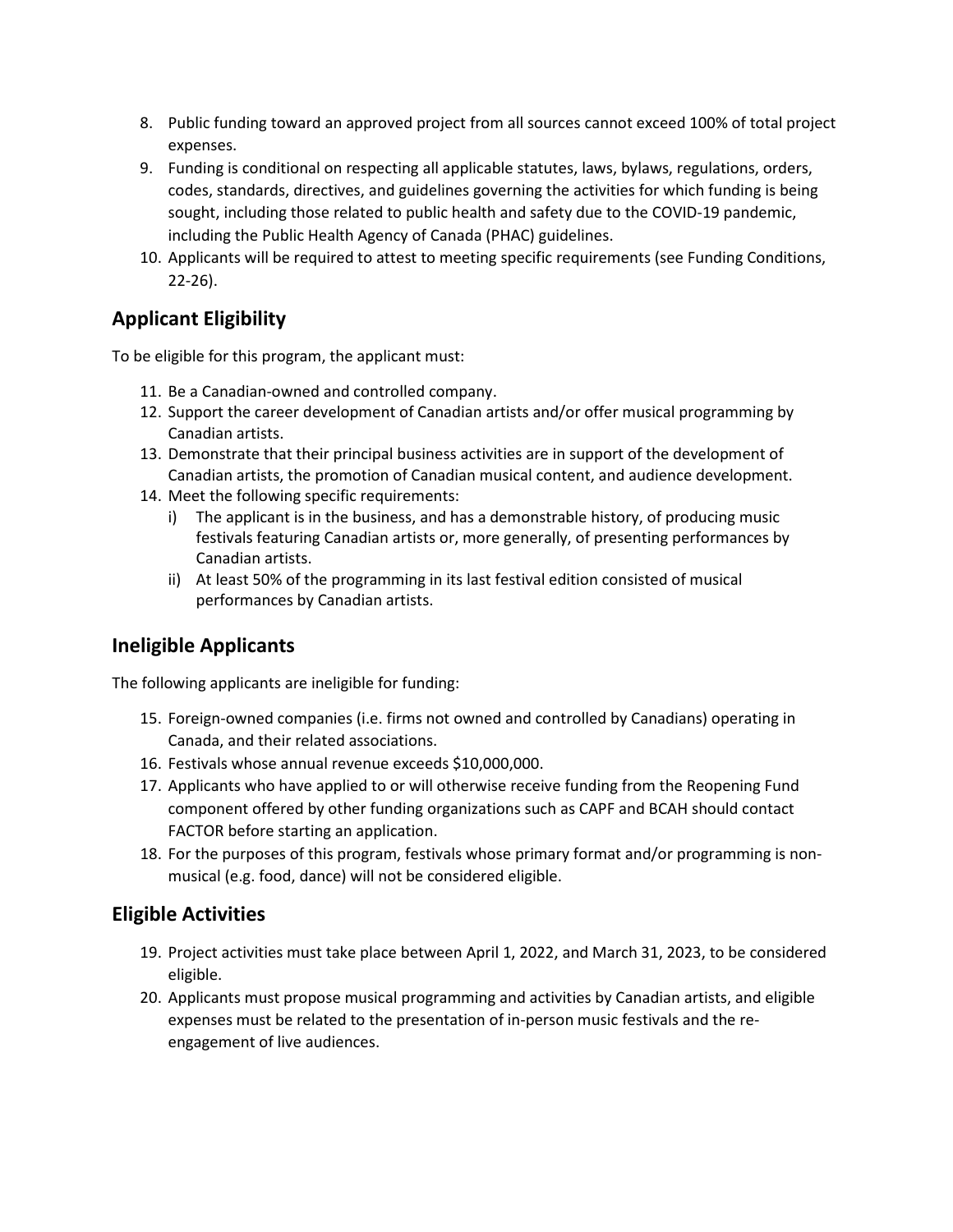- 8. Public funding toward an approved project from all sources cannot exceed 100% of total project expenses.
- 9. Funding is conditional on respecting all applicable statutes, laws, bylaws, regulations, orders, codes, standards, directives, and guidelines governing the activities for which funding is being sought, including those related to public health and safety due to the COVID-19 pandemic, including the Public Health Agency of Canada (PHAC) guidelines.
- 10. Applicants will be required to attest to meeting specific requirements (see Funding Conditions, 22-26).

# **Applicant Eligibility**

To be eligible for this program, the applicant must:

- 11. Be a Canadian-owned and controlled company.
- 12. Support the career development of Canadian artists and/or offer musical programming by Canadian artists.
- 13. Demonstrate that their principal business activities are in support of the development of Canadian artists, the promotion of Canadian musical content, and audience development.
- 14. Meet the following specific requirements:
	- i) The applicant is in the business, and has a demonstrable history, of producing music festivals featuring Canadian artists or, more generally, of presenting performances by Canadian artists.
	- ii) At least 50% of the programming in its last festival edition consisted of musical performances by Canadian artists.

# **Ineligible Applicants**

The following applicants are ineligible for funding:

- 15. Foreign-owned companies (i.e. firms not owned and controlled by Canadians) operating in Canada, and their related associations.
- 16. Festivals whose annual revenue exceeds \$10,000,000.
- 17. Applicants who have applied to or will otherwise receive funding from the Reopening Fund component offered by other funding organizations such as CAPF and BCAH should contact FACTOR before starting an application.
- 18. For the purposes of this program, festivals whose primary format and/or programming is nonmusical (e.g. food, dance) will not be considered eligible.

## **Eligible Activities**

- 19. Project activities must take place between April 1, 2022, and March 31, 2023, to be considered eligible.
- 20. Applicants must propose musical programming and activities by Canadian artists, and eligible expenses must be related to the presentation of in-person music festivals and the reengagement of live audiences.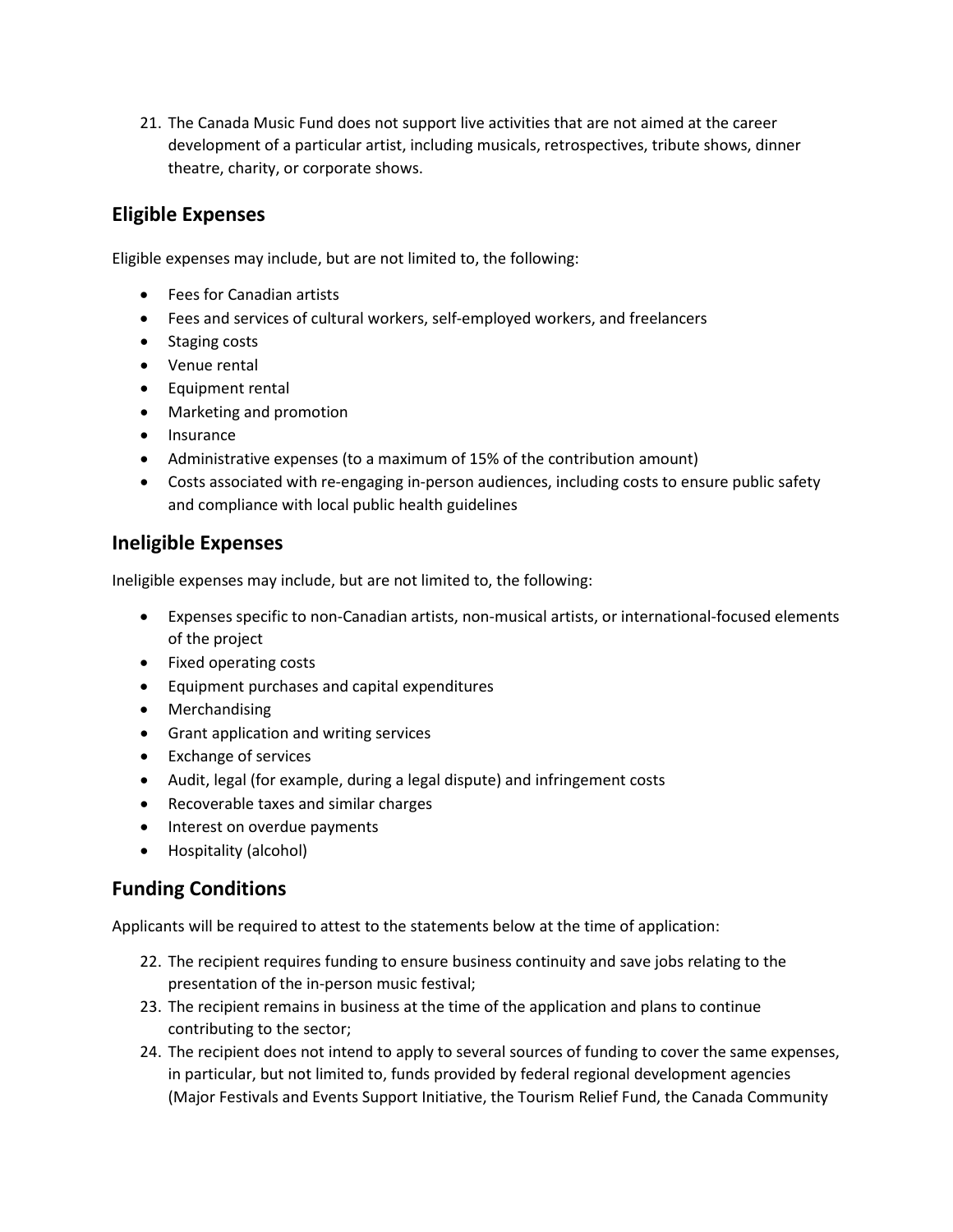21. The Canada Music Fund does not support live activities that are not aimed at the career development of a particular artist, including musicals, retrospectives, tribute shows, dinner theatre, charity, or corporate shows.

## **Eligible Expenses**

Eligible expenses may include, but are not limited to, the following:

- Fees for Canadian artists
- Fees and services of cultural workers, self-employed workers, and freelancers
- Staging costs
- Venue rental
- Equipment rental
- Marketing and promotion
- Insurance
- Administrative expenses (to a maximum of 15% of the contribution amount)
- Costs associated with re-engaging in-person audiences, including costs to ensure public safety and compliance with local public health guidelines

# **Ineligible Expenses**

Ineligible expenses may include, but are not limited to, the following:

- Expenses specific to non-Canadian artists, non-musical artists, or international-focused elements of the project
- Fixed operating costs
- Equipment purchases and capital expenditures
- Merchandising
- Grant application and writing services
- Exchange of services
- Audit, legal (for example, during a legal dispute) and infringement costs
- Recoverable taxes and similar charges
- Interest on overdue payments
- Hospitality (alcohol)

# **Funding Conditions**

Applicants will be required to attest to the statements below at the time of application:

- 22. The recipient requires funding to ensure business continuity and save jobs relating to the presentation of the in-person music festival;
- 23. The recipient remains in business at the time of the application and plans to continue contributing to the sector;
- 24. The recipient does not intend to apply to several sources of funding to cover the same expenses, in particular, but not limited to, funds provided by federal regional development agencies (Major Festivals and Events Support Initiative, the Tourism Relief Fund, the Canada Community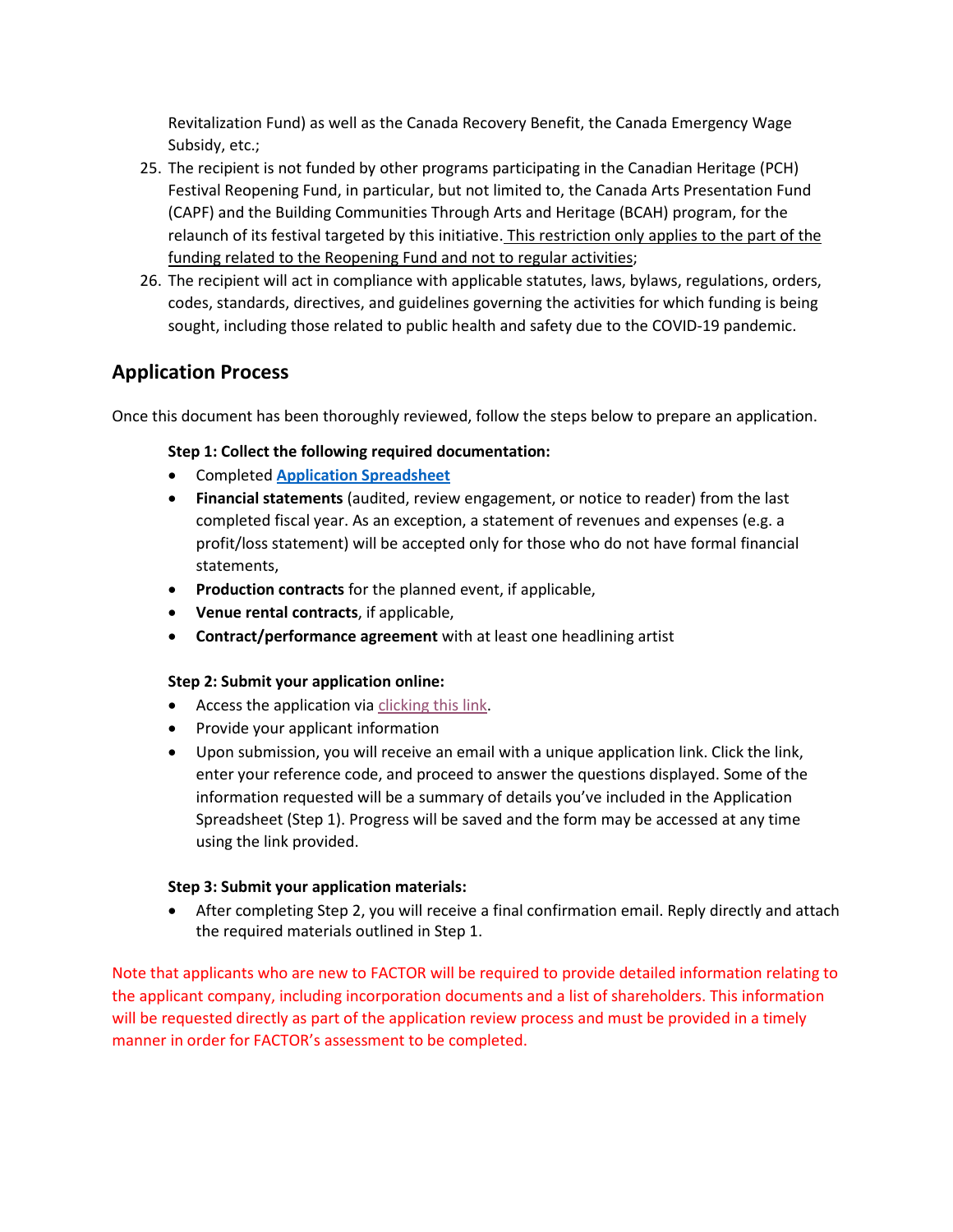Revitalization Fund) as well as the Canada Recovery Benefit, the Canada Emergency Wage Subsidy, etc.;

- 25. The recipient is not funded by other programs participating in the Canadian Heritage (PCH) Festival Reopening Fund, in particular, but not limited to, the Canada Arts Presentation Fund (CAPF) and the Building Communities Through Arts and Heritage (BCAH) program, for the relaunch of its festival targeted by this initiative. This restriction only applies to the part of the funding related to the Reopening Fund and not to regular activities;
- 26. The recipient will act in compliance with applicable statutes, laws, bylaws, regulations, orders, codes, standards, directives, and guidelines governing the activities for which funding is being sought, including those related to public health and safety due to the COVID-19 pandemic.

## **Application Process**

Once this document has been thoroughly reviewed, follow the steps below to prepare an application.

#### **Step 1: Collect the following required documentation:**

- Completed **[Application Spreadsheet](https://factorportalprod.blob.core.windows.net/portal/Documents/Emergency_Support_Fund/Festival%20Reopening/FACTOR%20-%20Festival%20Reopening%20-%20Application.xlsx)**
- **Financial statements** (audited, review engagement, or notice to reader) from the last completed fiscal year. As an exception, a statement of revenues and expenses (e.g. a profit/loss statement) will be accepted only for those who do not have formal financial statements,
- **Production contracts** for the planned event, if applicable,
- **Venue rental contracts**, if applicable,
- **Contract/performance agreement** with at least one headlining artist

#### **Step 2: Submit your application online:**

- Access the application via [clicking this link.](https://bit.ly/3xUXTp1)
- Provide your applicant information
- Upon submission, you will receive an email with a unique application link. Click the link, enter your reference code, and proceed to answer the questions displayed. Some of the information requested will be a summary of details you've included in the Application Spreadsheet (Step 1). Progress will be saved and the form may be accessed at any time using the link provided.

#### **Step 3: Submit your application materials:**

• After completing Step 2, you will receive a final confirmation email. Reply directly and attach the required materials outlined in Step 1.

Note that applicants who are new to FACTOR will be required to provide detailed information relating to the applicant company, including incorporation documents and a list of shareholders. This information will be requested directly as part of the application review process and must be provided in a timely manner in order for FACTOR's assessment to be completed.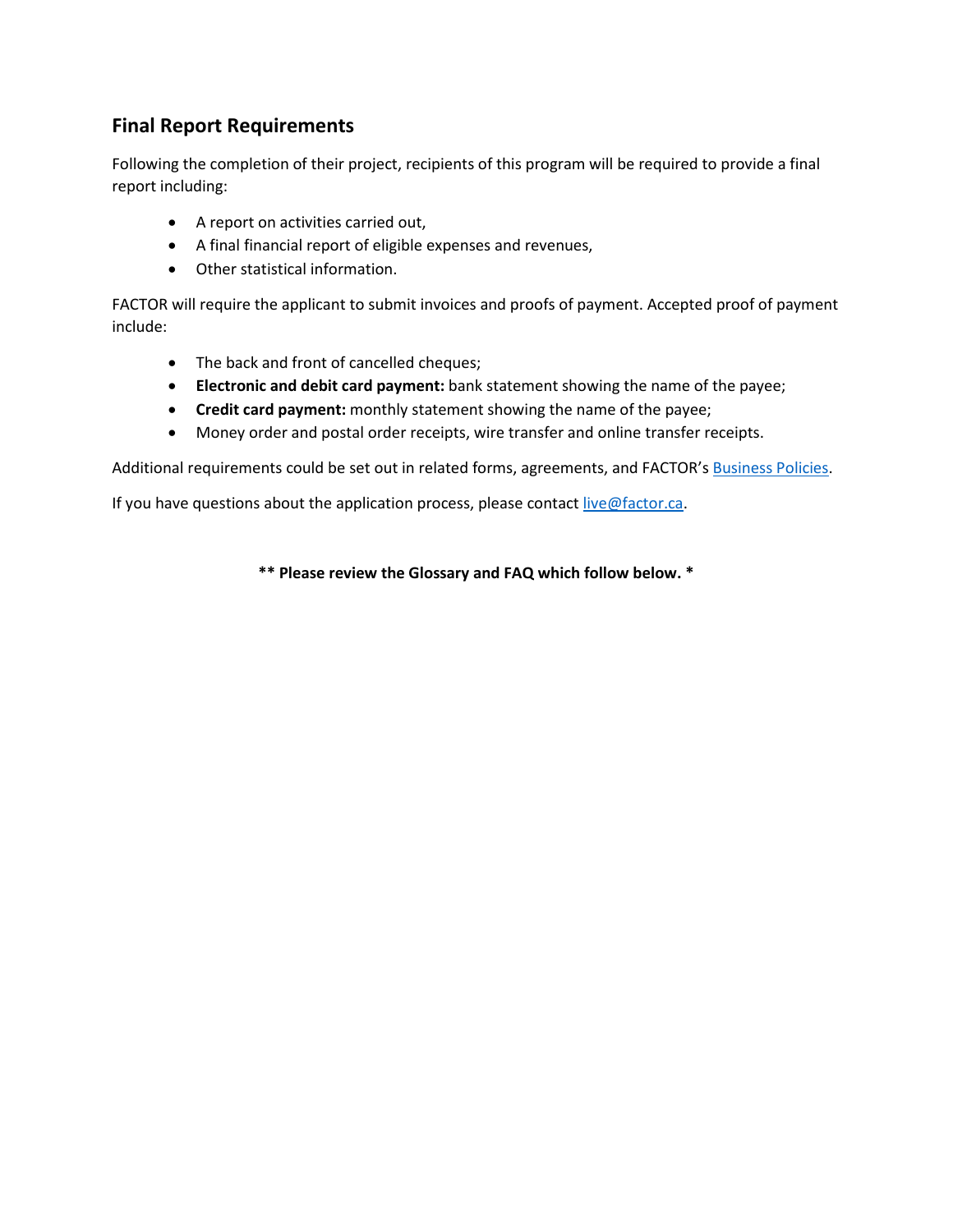# **Final Report Requirements**

Following the completion of their project, recipients of this program will be required to provide a final report including:

- A report on activities carried out,
- A final financial report of eligible expenses and revenues,
- Other statistical information.

FACTOR will require the applicant to submit invoices and proofs of payment. Accepted proof of payment include:

- The back and front of cancelled cheques;
- **Electronic and debit card payment:** bank statement showing the name of the payee;
- **Credit card payment:** monthly statement showing the name of the payee;
- Money order and postal order receipts, wire transfer and online transfer receipts.

Additional requirements could be set out in related forms, agreements, and FACTOR's [Business Policies.](https://factorportalprod.blob.core.windows.net/portal/Documents/Updates/FACTOR_Business_Policies.pdf)

If you have questions about the application process, please contac[t live@factor.ca.](mailto:live@factor.ca)

**\*\* Please review the Glossary and FAQ which follow below. \***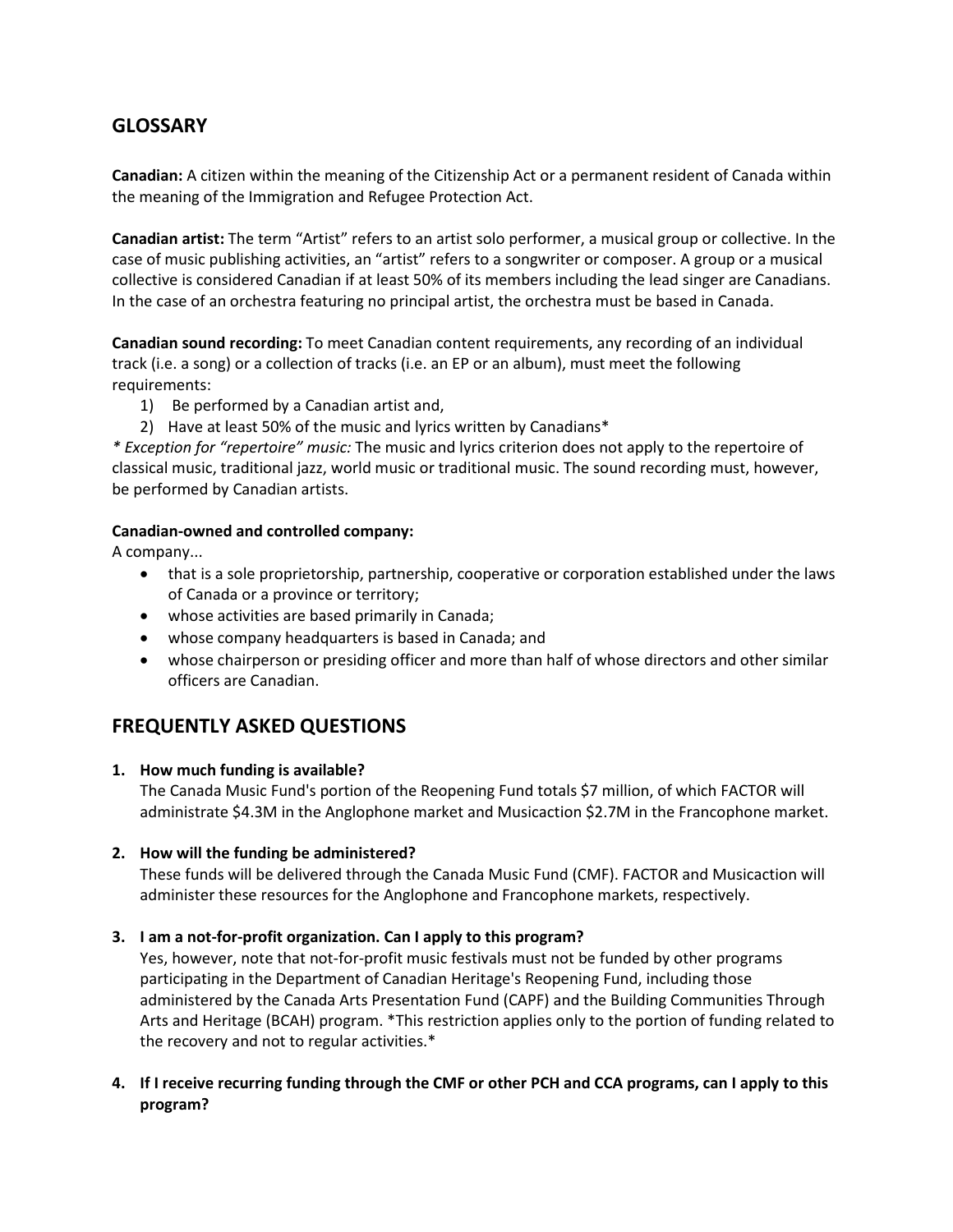## **GLOSSARY**

**Canadian:** A citizen within the meaning of the Citizenship Act or a permanent resident of Canada within the meaning of the Immigration and Refugee Protection Act.

**Canadian artist:** The term "Artist" refers to an artist solo performer, a musical group or collective. In the case of music publishing activities, an "artist" refers to a songwriter or composer. A group or a musical collective is considered Canadian if at least 50% of its members including the lead singer are Canadians. In the case of an orchestra featuring no principal artist, the orchestra must be based in Canada.

**Canadian sound recording:** To meet Canadian content requirements, any recording of an individual track (i.e. a song) or a collection of tracks (i.e. an EP or an album), must meet the following requirements:

- 1) Be performed by a Canadian artist and,
- 2) Have at least 50% of the music and lyrics written by Canadians\*

*\* Exception for "repertoire" music:* The music and lyrics criterion does not apply to the repertoire of classical music, traditional jazz, world music or traditional music. The sound recording must, however, be performed by Canadian artists.

#### **Canadian-owned and controlled company:**

A company...

- that is a sole proprietorship, partnership, cooperative or corporation established under the laws of Canada or a province or territory;
- whose activities are based primarily in Canada;
- whose company headquarters is based in Canada; and
- whose chairperson or presiding officer and more than half of whose directors and other similar officers are Canadian.

## **FREQUENTLY ASKED QUESTIONS**

#### **1. How much funding is available?**

The Canada Music Fund's portion of the Reopening Fund totals \$7 million, of which FACTOR will administrate \$4.3M in the Anglophone market and Musicaction \$2.7M in the Francophone market.

#### **2. How will the funding be administered?**

These funds will be delivered through the Canada Music Fund (CMF). FACTOR and Musicaction will administer these resources for the Anglophone and Francophone markets, respectively.

#### **3. I am a not-for-profit organization. Can I apply to this program?**

Yes, however, note that not-for-profit music festivals must not be funded by other programs participating in the Department of Canadian Heritage's Reopening Fund, including those administered by the Canada Arts Presentation Fund (CAPF) and the Building Communities Through Arts and Heritage (BCAH) program. \*This restriction applies only to the portion of funding related to the recovery and not to regular activities.\*

**4. If I receive recurring funding through the CMF or other PCH and CCA programs, can I apply to this program?**